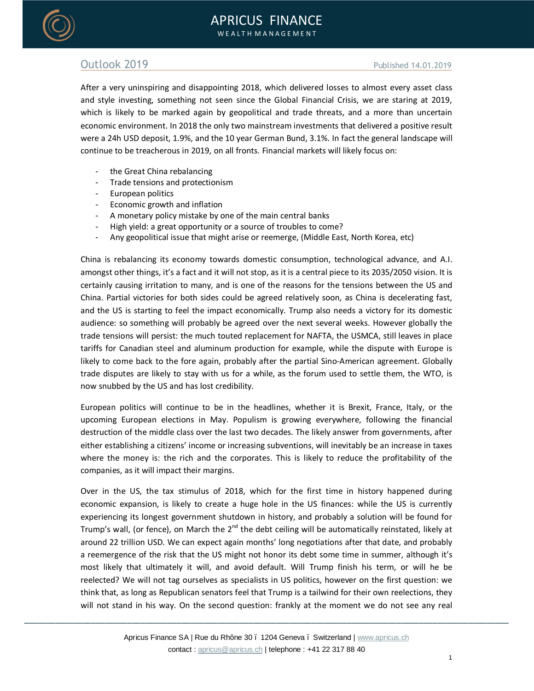## APRICUS FINANCE WEALTH MANAGEMENT

After a very uninspiring and disappointing 2018, which delivered losses to almost every asset class and style investing, something not seen since the Global Financial Crisis, we are staring at 2019, which is likely to be marked again by geopolitical and trade threats, and a more than uncertain economic environment. In 2018 the only two mainstream investments that delivered a positive result were a 24h USD deposit, 1.9%, and the 10 year German Bund, 3.1%. In fact the general landscape will continue to be treacherous in 2019, on all fronts. Financial markets will likely focus on:

- the Great China rebalancing
- Trade tensions and protectionism
- European politics
- Economic growth and inflation
- A monetary policy mistake by one of the main central banks
- High yield: a great opportunity or a source of troubles to come?
- Any geopolitical issue that might arise or reemerge, (Middle East, North Korea, etc)

China is rebalancing its economy towards domestic consumption, technological advance, and A.I. amongst other things, it's a fact and it will not stop, as it is a central piece to its 2035/2050 vision. It is certainly causing irritation to many, and is one of the reasons for the tensions between the US and China. Partial victories for both sides could be agreed relatively soon, as China is decelerating fast, and the US is starting to feel the impact economically. Trump also needs a victory for its domestic audience: so something will probably be agreed over the next several weeks. However globally the trade tensions will persist: the much touted replacement for NAFTA, the USMCA, still leaves in place tariffs for Canadian steel and aluminum production for example, while the dispute with Europe is likely to come back to the fore again, probably after the partial Sino-American agreement. Globally trade disputes are likely to stay with us for a while, as the forum used to settle them, the WTO, is now snubbed by the US and has lost credibility.

European politics will continue to be in the headlines, whether it is Brexit, France, Italy, or the upcoming European elections in May. Populism is growing everywhere, following the financial destruction of the middle class over the last two decades. The likely answer from governments, after either establishing a citizens' income or increasing subventions, will inevitably be an increase in taxes where the money is: the rich and the corporates. This is likely to reduce the profitability of the companies, as it will impact their margins.

Over in the US, the tax stimulus of 2018, which for the first time in history happened during economic expansion, is likely to create a huge hole in the US finances: while the US is currently experiencing its longest government shutdown in history, and probably a solution will be found for Trump's wall, (or fence), on March the  $2^{nd}$  the debt ceiling will be automatically reinstated, likely at around 22 trillion USD. We can expect again months' long negotiations after that date, and probably a reemergence of the risk that the US might not honor its debt some time in summer, although it's most likely that ultimately it will, and avoid default. Will Trump finish his term, or will he be reelected? We will not tag ourselves as specialists in US politics, however on the first question: we think that, as long as Republican senators feel that Trump is a tailwind for their own reelections, they will not stand in his way. On the second question: frankly at the moment we do not see any real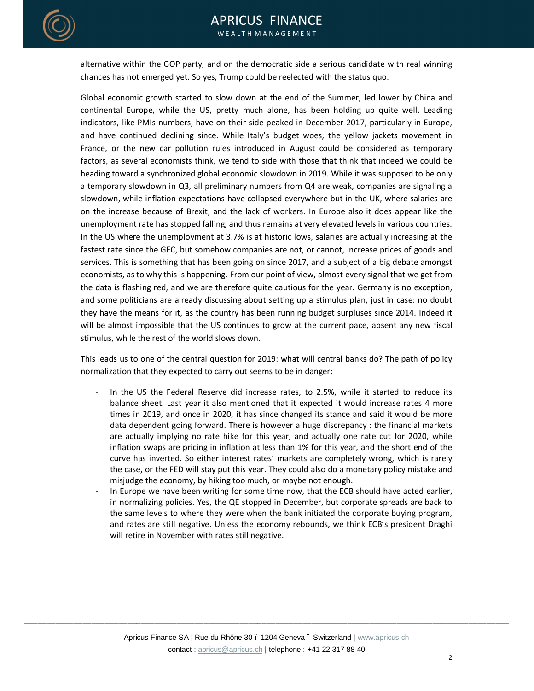

alternative within the GOP party, and on the democratic side a serious candidate with real winning chances has not emerged yet. So yes, Trump could be reelected with the status quo.

Global economic growth started to slow down at the end of the Summer, led lower by China and continental Europe, while the US, pretty much alone, has been holding up quite well. Leading indicators, like PMIs numbers, have on their side peaked in December 2017, particularly in Europe, and have continued declining since. While Italy's budget woes, the yellow jackets movement in France, or the new car pollution rules introduced in August could be considered as temporary factors, as several economists think, we tend to side with those that think that indeed we could be heading toward a synchronized global economic slowdown in 2019. While it was supposed to be only a temporary slowdown in Q3, all preliminary numbers from Q4 are weak, companies are signaling a slowdown, while inflation expectations have collapsed everywhere but in the UK, where salaries are on the increase because of Brexit, and the lack of workers. In Europe also it does appear like the unemployment rate has stopped falling, and thus remains at very elevated levels in various countries. In the US where the unemployment at 3.7% is at historic lows, salaries are actually increasing at the fastest rate since the GFC, but somehow companies are not, or cannot, increase prices of goods and services. This is something that has been going on since 2017, and a subject of a big debate amongst economists, as to why this is happening. From our point of view, almost every signal that we get from the data is flashing red, and we are therefore quite cautious for the year. Germany is no exception, and some politicians are already discussing about setting up a stimulus plan, just in case: no doubt they have the means for it, as the country has been running budget surpluses since 2014. Indeed it will be almost impossible that the US continues to grow at the current pace, absent any new fiscal stimulus, while the rest of the world slows down.

This leads us to one of the central question for 2019: what will central banks do? The path of policy normalization that they expected to carry out seems to be in danger:

- In the US the Federal Reserve did increase rates, to 2.5%, while it started to reduce its balance sheet. Last year it also mentioned that it expected it would increase rates 4 more times in 2019, and once in 2020, it has since changed its stance and said it would be more data dependent going forward. There is however a huge discrepancy : the financial markets are actually implying no rate hike for this year, and actually one rate cut for 2020, while inflation swaps are pricing in inflation at less than 1% for this year, and the short end of the curve has inverted. So either interest rates' markets are completely wrong, which is rarely the case, or the FED will stay put this year. They could also do a monetary policy mistake and misjudge the economy, by hiking too much, or maybe not enough.
- In Europe we have been writing for some time now, that the ECB should have acted earlier, in normalizing policies. Yes, the QE stopped in December, but corporate spreads are back to the same levels to where they were when the bank initiated the corporate buying program, and rates are still negative. Unless the economy rebounds, we think ECB's president Draghi will retire in November with rates still negative.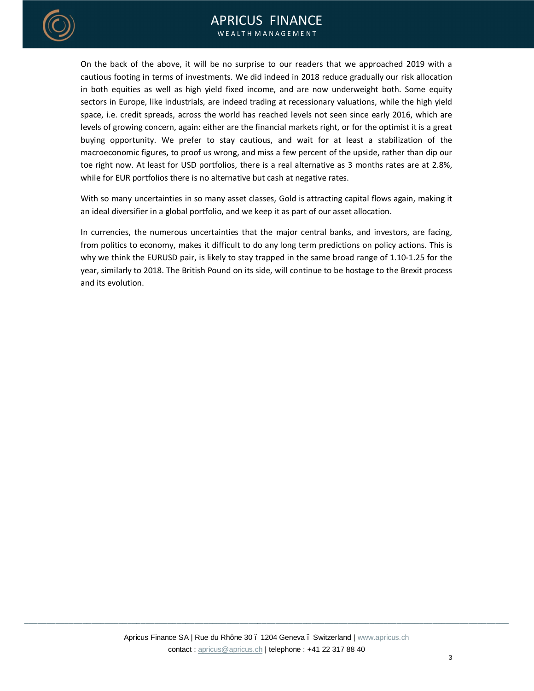## APRICUS FINANCE W F A L T H M A N A G F M F N T



On the back of the above, it will be no surprise to our readers that we approached 2019 with a cautious footing in terms of investments. We did indeed in 2018 reduce gradually our risk allocation in both equities as well as high yield fixed income, and are now underweight both. Some equity sectors in Europe, like industrials, are indeed trading at recessionary valuations, while the high yield space, i.e. credit spreads, across the world has reached levels not seen since early 2016, which are levels of growing concern, again: either are the financial markets right, or for the optimist it is a great buying opportunity. We prefer to stay cautious, and wait for at least a stabilization of the macroeconomic figures, to proof us wrong, and miss a few percent of the upside, rather than dip our toe right now. At least for USD portfolios, there is a real alternative as 3 months rates are at 2.8%, while for EUR portfolios there is no alternative but cash at negative rates.

With so many uncertainties in so many asset classes, Gold is attracting capital flows again, making it an ideal diversifier in a global portfolio, and we keep it as part of our asset allocation.

In currencies, the numerous uncertainties that the major central banks, and investors, are facing, from politics to economy, makes it difficult to do any long term predictions on policy actions. This is why we think the EURUSD pair, is likely to stay trapped in the same broad range of 1.10-1.25 for the year, similarly to 2018. The British Pound on its side, will continue to be hostage to the Brexit process and its evolution.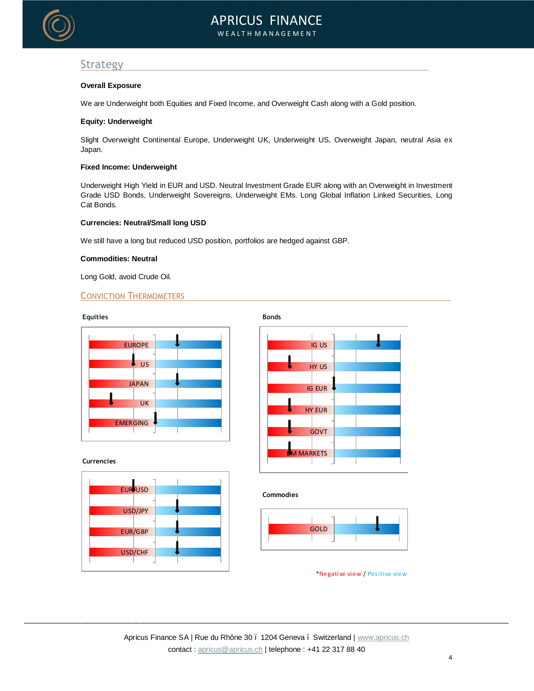

# Strategy

#### **Overall Exposure**

We are Underweight both Equities and Fixed Income, and Overweight Cash along with a Gold position.

#### **Equity: Underweight**

Slight Overweight Continental Europe, Underweight UK, Underweight US, Overweight Japan, neutral Asia ex Japan.

#### **Fixed Income: Underweight**

Underweight High Yield in EUR and USD. Neutral Investment Grade EUR along with an Overweight in Investment Grade USD Bonds, Underweight Sovereigns, Underweight EMs. Long Global Inflation Linked Securities, Long Cat Bonds.

#### **Currencies: Neutral/Small long USD**

We still have a long but reduced USD position, portfolios are hedged against GBP.

#### **Commodities: Neutral**

Long Gold, avoid Crude Oil.

### CONVICTION THERMOMETERS .



#### **Currencies**





#### **Commodies**



\*Negati ve view / Positive view